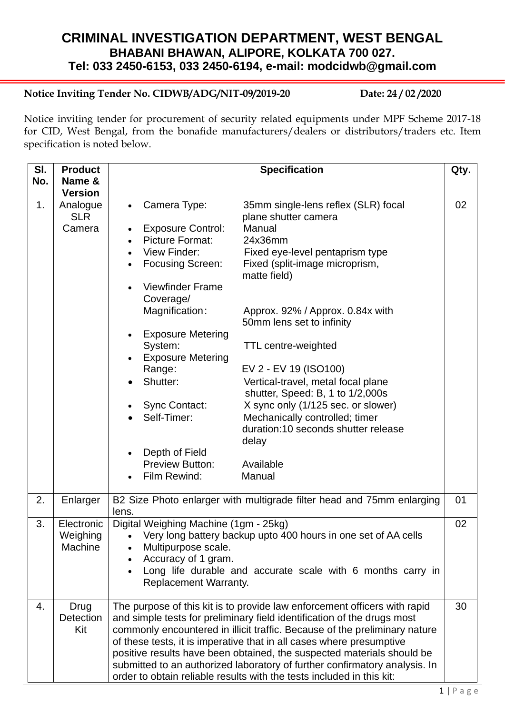# **CRIMINAL INVESTIGATION DEPARTMENT, WEST BENGAL BHABANI BHAWAN, ALIPORE, KOLKATA 700 027. Tel: 033 2450-6153, 033 2450-6194, e-mail: modcidwb@gmail.com**

# **Notice Inviting Tender No. CIDWB/ADG/NIT-09/2019-20 Date: 24 / 02 /2020**

Notice inviting tender for procurement of security related equipments under MPF Scheme 2017-18 for CID, West Bengal, from the bonafide manufacturers/dealers or distributors/traders etc. Item specification is noted below.

| SI.<br>No. | <b>Product</b><br>Name &          | <b>Specification</b><br>Qty.                                                                                                                                                                                                                                                                                                                                                                                                                                                                                                                                                                                                                                                                                                                                                                                                                                                                               |    |  |
|------------|-----------------------------------|------------------------------------------------------------------------------------------------------------------------------------------------------------------------------------------------------------------------------------------------------------------------------------------------------------------------------------------------------------------------------------------------------------------------------------------------------------------------------------------------------------------------------------------------------------------------------------------------------------------------------------------------------------------------------------------------------------------------------------------------------------------------------------------------------------------------------------------------------------------------------------------------------------|----|--|
|            | <b>Version</b>                    |                                                                                                                                                                                                                                                                                                                                                                                                                                                                                                                                                                                                                                                                                                                                                                                                                                                                                                            |    |  |
| 1.         | Analogue<br><b>SLR</b><br>Camera  | Camera Type:<br>35mm single-lens reflex (SLR) focal<br>$\bullet$<br>plane shutter camera<br>Manual<br><b>Exposure Control:</b><br><b>Picture Format:</b><br>24x36mm<br>View Finder:<br>Fixed eye-level pentaprism type<br><b>Focusing Screen:</b><br>Fixed (split-image microprism,<br>matte field)<br><b>Viewfinder Frame</b><br>Coverage/<br>Magnification:<br>Approx. 92% / Approx. 0.84x with<br>50mm lens set to infinity<br><b>Exposure Metering</b><br>System:<br><b>TTL centre-weighted</b><br><b>Exposure Metering</b><br>EV 2 - EV 19 (ISO100)<br>Range:<br>Shutter:<br>Vertical-travel, metal focal plane<br>shutter, Speed: B, 1 to 1/2,000s<br><b>Sync Contact:</b><br>X sync only (1/125 sec. or slower)<br>Self-Timer:<br>Mechanically controlled; timer<br>duration:10 seconds shutter release<br>delay<br>Depth of Field<br><b>Preview Button:</b><br>Available<br>Film Rewind:<br>Manual | 02 |  |
| 2.         | Enlarger                          | B2 Size Photo enlarger with multigrade filter head and 75mm enlarging<br>01                                                                                                                                                                                                                                                                                                                                                                                                                                                                                                                                                                                                                                                                                                                                                                                                                                |    |  |
| 3.         | Electronic<br>Weighing<br>Machine | lens.<br>Digital Weighing Machine (1gm - 25kg)<br>02<br>Very long battery backup upto 400 hours in one set of AA cells<br>Multipurpose scale.<br>Accuracy of 1 gram.<br>Long life durable and accurate scale with 6 months carry in<br>Replacement Warranty.                                                                                                                                                                                                                                                                                                                                                                                                                                                                                                                                                                                                                                               |    |  |
| 4.         | Drug<br>Detection<br>Kit          | The purpose of this kit is to provide law enforcement officers with rapid<br>30<br>and simple tests for preliminary field identification of the drugs most<br>commonly encountered in illicit traffic. Because of the preliminary nature<br>of these tests, it is imperative that in all cases where presumptive<br>positive results have been obtained, the suspected materials should be<br>submitted to an authorized laboratory of further confirmatory analysis. In<br>order to obtain reliable results with the tests included in this kit:                                                                                                                                                                                                                                                                                                                                                          |    |  |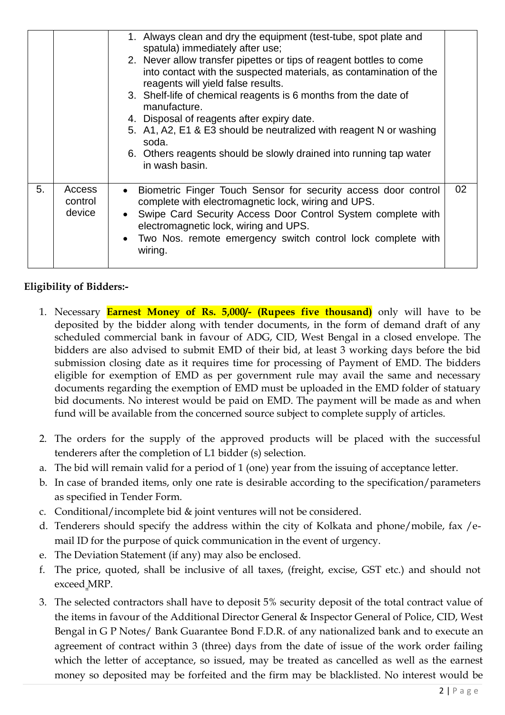|    |                             | 1. Always clean and dry the equipment (test-tube, spot plate and<br>spatula) immediately after use;<br>2. Never allow transfer pipettes or tips of reagent bottles to come<br>into contact with the suspected materials, as contamination of the<br>reagents will yield false results.<br>3. Shelf-life of chemical reagents is 6 months from the date of<br>manufacture.<br>4. Disposal of reagents after expiry date.<br>5. A1, A2, E1 & E3 should be neutralized with reagent N or washing<br>soda.<br>6. Others reagents should be slowly drained into running tap water<br>in wash basin. |    |
|----|-----------------------------|------------------------------------------------------------------------------------------------------------------------------------------------------------------------------------------------------------------------------------------------------------------------------------------------------------------------------------------------------------------------------------------------------------------------------------------------------------------------------------------------------------------------------------------------------------------------------------------------|----|
| 5. | Access<br>control<br>device | Biometric Finger Touch Sensor for security access door control<br>$\bullet$<br>complete with electromagnetic lock, wiring and UPS.<br>• Swipe Card Security Access Door Control System complete with<br>electromagnetic lock, wiring and UPS.<br>• Two Nos. remote emergency switch control lock complete with<br>wiring.                                                                                                                                                                                                                                                                      | 02 |

# **Eligibility of Bidders:-**

- 1. Necessary **Earnest Money of Rs. 5,000/- (Rupees five thousand)** only will have to be deposited by the bidder along with tender documents, in the form of demand draft of any scheduled commercial bank in favour of ADG, CID, West Bengal in a closed envelope. The bidders are also advised to submit EMD of their bid, at least 3 working days before the bid submission closing date as it requires time for processing of Payment of EMD. The bidders eligible for exemption of EMD as per government rule may avail the same and necessary documents regarding the exemption of EMD must be uploaded in the EMD folder of statuary bid documents. No interest would be paid on EMD. The payment will be made as and when fund will be available from the concerned source subject to complete supply of articles.
- 2. The orders for the supply of the approved products will be placed with the successful tenderers after the completion of L1 bidder (s) selection.
- a. The bid will remain valid for a period of 1 (one) year from the issuing of acceptance letter.
- b. In case of branded items, only one rate is desirable according to the specification/parameters as specified in Tender Form.
- c. Conditional/incomplete bid & joint ventures will not be considered.
- d. Tenderers should specify the address within the city of Kolkata and phone/mobile, fax /email ID for the purpose of quick communication in the event of urgency.
- e. The Deviation Statement (if any) may also be enclosed.
- f. The price, quoted, shall be inclusive of all taxes, (freight, excise, GST etc.) and should not exceed MRP. "
- 3. The selected contractors shall have to deposit 5% security deposit of the total contract value of the items in favour of the Additional Director General & Inspector General of Police, CID, West Bengal in G P Notes/ Bank Guarantee Bond F.D.R. of any nationalized bank and to execute an agreement of contract within 3 (three) days from the date of issue of the work order failing which the letter of acceptance, so issued, may be treated as cancelled as well as the earnest money so deposited may be forfeited and the firm may be blacklisted. No interest would be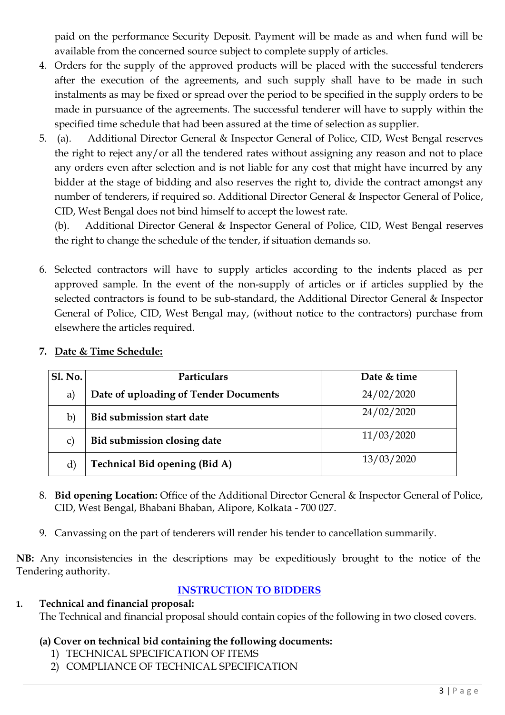paid on the performance Security Deposit. Payment will be made as and when fund will be available from the concerned source subject to complete supply of articles.

- 4. Orders for the supply of the approved products will be placed with the successful tenderers after the execution of the agreements, and such supply shall have to be made in such instalments as may be fixed or spread over the period to be specified in the supply orders to be made in pursuance of the agreements. The successful tenderer will have to supply within the specified time schedule that had been assured at the time of selection as supplier.
- 5. (a). Additional Director General & Inspector General of Police, CID, West Bengal reserves the right to reject any/or all the tendered rates without assigning any reason and not to place any orders even after selection and is not liable for any cost that might have incurred by any bidder at the stage of bidding and also reserves the right to, divide the contract amongst any number of tenderers, if required so. Additional Director General & Inspector General of Police, CID, West Bengal does not bind himself to accept the lowest rate.

(b). Additional Director General & Inspector General of Police, CID, West Bengal reserves the right to change the schedule of the tender, if situation demands so.

6. Selected contractors will have to supply articles according to the indents placed as per approved sample. In the event of the non-supply of articles or if articles supplied by the selected contractors is found to be sub-standard, the Additional Director General & Inspector General of Police, CID, West Bengal may, (without notice to the contractors) purchase from elsewhere the articles required.

| <b>Sl. No.</b> | Particulars                           | Date & time |
|----------------|---------------------------------------|-------------|
| a)             | Date of uploading of Tender Documents | 24/02/2020  |
| b)             | <b>Bid submission start date</b>      | 24/02/2020  |
| C)             | Bid submission closing date           | 11/03/2020  |
| d)             | <b>Technical Bid opening (Bid A)</b>  | 13/03/2020  |

### **7. Date & Time Schedule:**

- 8. **Bid opening Location:** Office of the Additional Director General & Inspector General of Police, CID, West Bengal, Bhabani Bhaban, Alipore, Kolkata - 700 027.
- 9. Canvassing on the part of tenderers will render his tender to cancellation summarily.

**NB:** Any inconsistencies in the descriptions may be expeditiously brought to the notice of the Tendering authority.

### **INSTRUCTION TO BIDDERS**

#### **1. Technical and financial proposal:** The Technical and financial proposal should contain copies of the following in two closed covers.

### **(a) Cover on technical bid containing the following documents:**

- 1) TECHNICAL SPECIFICATION OF ITEMS
- 2) COMPLIANCE OF TECHNICAL SPECIFICATION